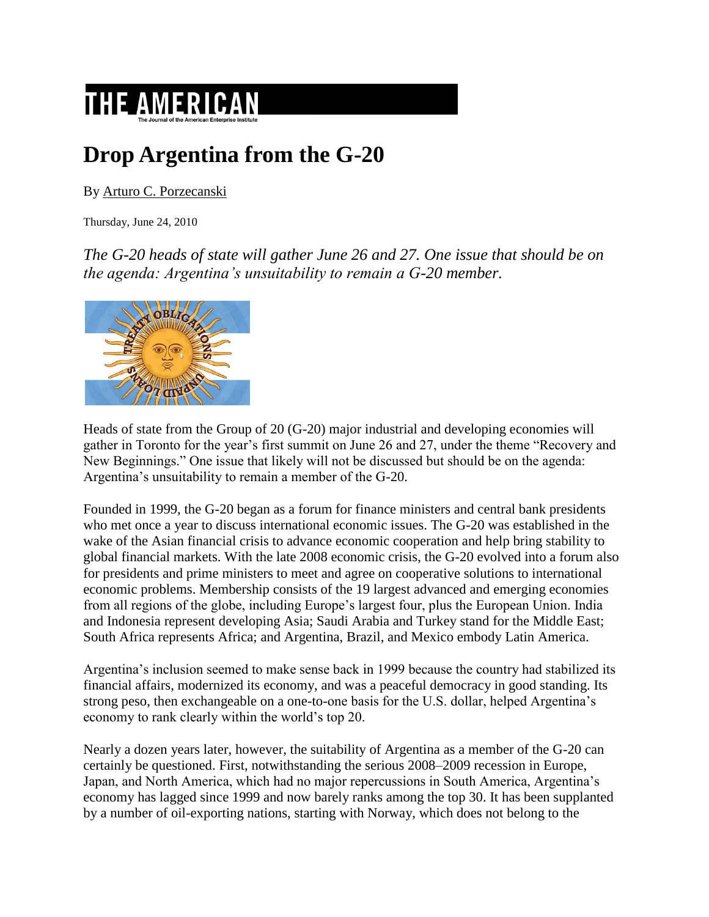

## **Drop Argentina from the G-20**

By [Arturo C. Porzecanski](http://www.american.com/author_search?Creator=Arturo%20C.%20Porzecanski)

Thursday, June 24, 2010

*The G-20 heads of state will gather June 26 and 27. One issue that should be on the agenda: Argentina's unsuitability to remain a G-20 member.*



Heads of state from the Group of 20 (G-20) major industrial and developing economies will gather in Toronto for the year's first summit on June 26 and 27, under the theme "Recovery and New Beginnings." One issue that likely will not be discussed but should be on the agenda: Argentina's unsuitability to remain a member of the G-20.

Founded in 1999, the G-20 began as a forum for finance ministers and central bank presidents who met once a year to discuss international economic issues. The G-20 was established in the wake of the Asian financial crisis to advance economic cooperation and help bring stability to global financial markets. With the late 2008 economic crisis, the G-20 evolved into a forum also for presidents and prime ministers to meet and agree on cooperative solutions to international economic problems. Membership consists of the 19 largest advanced and emerging economies from all regions of the globe, including Europe's largest four, plus the European Union. India and Indonesia represent developing Asia; Saudi Arabia and Turkey stand for the Middle East; South Africa represents Africa; and Argentina, Brazil, and Mexico embody Latin America.

Argentina's inclusion seemed to make sense back in 1999 because the country had stabilized its financial affairs, modernized its economy, and was a peaceful democracy in good standing. Its strong peso, then exchangeable on a one-to-one basis for the U.S. dollar, helped Argentina's economy to rank clearly within the world's top 20.

Nearly a dozen years later, however, the suitability of Argentina as a member of the G-20 can certainly be questioned. First, notwithstanding the serious 2008–2009 recession in Europe, Japan, and North America, which had no major repercussions in South America, Argentina's economy has lagged since 1999 and now barely ranks among the top 30. It has been supplanted by a number of oil-exporting nations, starting with Norway, which does not belong to the